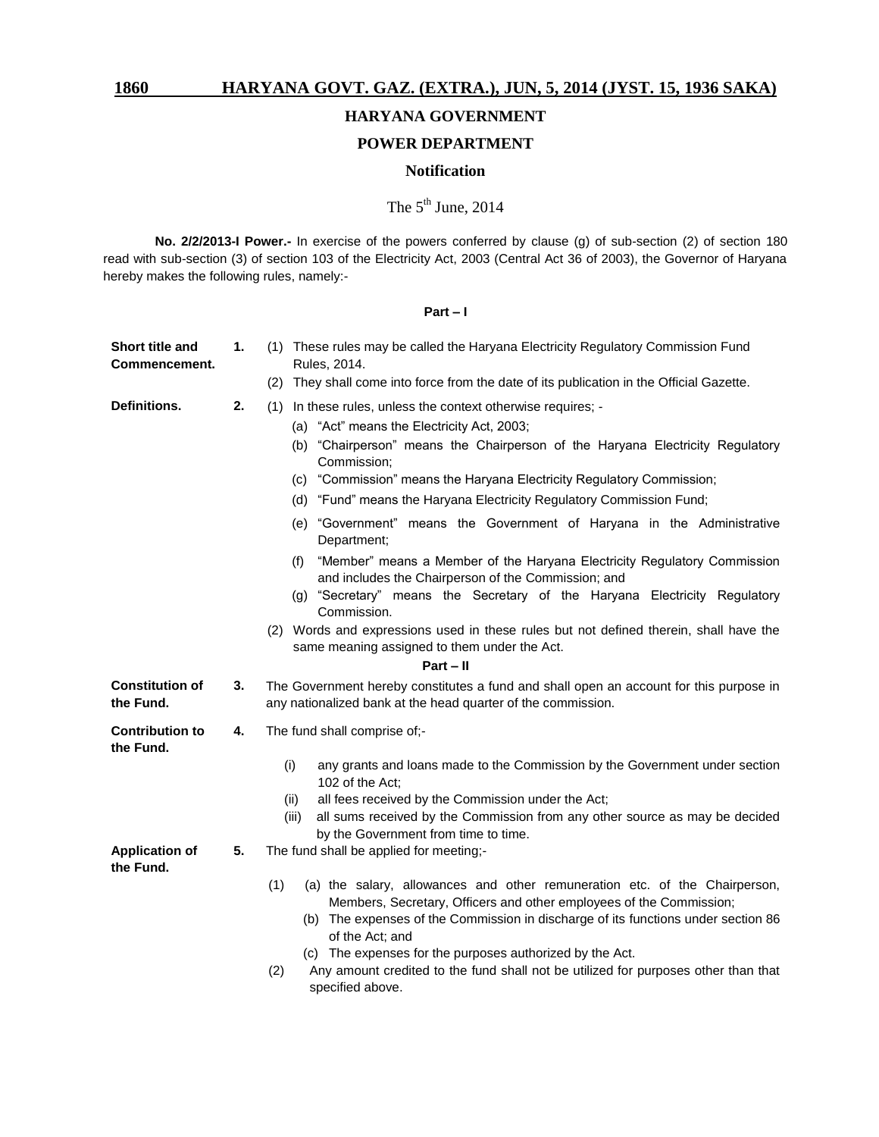# **HARYANA GOVERNMENT**

# **POWER DEPARTMENT**

# **Notification**

# The  $5^{\text{th}}$  June, 2014

**No. 2/2/2013-I Power.-** In exercise of the powers conferred by clause (g) of sub-section (2) of section 180 read with sub-section (3) of section 103 of the Electricity Act, 2003 (Central Act 36 of 2003), the Governor of Haryana hereby makes the following rules, namely:-

## **Part – I**

| Short title and<br>Commencement.    | 1. | (1) These rules may be called the Haryana Electricity Regulatory Commission Fund<br>Rules, 2014.                                                                                                                                                                 |
|-------------------------------------|----|------------------------------------------------------------------------------------------------------------------------------------------------------------------------------------------------------------------------------------------------------------------|
|                                     |    | (2) They shall come into force from the date of its publication in the Official Gazette.                                                                                                                                                                         |
| Definitions.                        | 2. | (1) In these rules, unless the context otherwise requires; -                                                                                                                                                                                                     |
|                                     |    | (a) "Act" means the Electricity Act, 2003;                                                                                                                                                                                                                       |
|                                     |    | (b) "Chairperson" means the Chairperson of the Haryana Electricity Regulatory<br>Commission;                                                                                                                                                                     |
|                                     |    | (c) "Commission" means the Haryana Electricity Regulatory Commission;                                                                                                                                                                                            |
|                                     |    | (d) "Fund" means the Haryana Electricity Regulatory Commission Fund;                                                                                                                                                                                             |
|                                     |    | (e) "Government" means the Government of Haryana in the Administrative<br>Department;                                                                                                                                                                            |
|                                     |    | "Member" means a Member of the Haryana Electricity Regulatory Commission<br>(f)<br>and includes the Chairperson of the Commission; and                                                                                                                           |
|                                     |    | (g) "Secretary" means the Secretary of the Haryana Electricity Regulatory<br>Commission.                                                                                                                                                                         |
|                                     |    | (2) Words and expressions used in these rules but not defined therein, shall have the<br>same meaning assigned to them under the Act.                                                                                                                            |
|                                     |    | $Part - II$                                                                                                                                                                                                                                                      |
| <b>Constitution of</b><br>the Fund. | 3. | The Government hereby constitutes a fund and shall open an account for this purpose in<br>any nationalized bank at the head quarter of the commission.                                                                                                           |
| <b>Contribution to</b><br>the Fund. | 4. | The fund shall comprise of;-                                                                                                                                                                                                                                     |
|                                     |    | (i)<br>any grants and loans made to the Commission by the Government under section<br>102 of the Act;                                                                                                                                                            |
|                                     |    | all fees received by the Commission under the Act;<br>(ii)                                                                                                                                                                                                       |
|                                     |    | all sums received by the Commission from any other source as may be decided<br>(iii)<br>by the Government from time to time.                                                                                                                                     |
| <b>Application of</b><br>the Fund.  | 5. | The fund shall be applied for meeting;-                                                                                                                                                                                                                          |
|                                     |    | (1)<br>(a) the salary, allowances and other remuneration etc. of the Chairperson,<br>Members, Secretary, Officers and other employees of the Commission;<br>(b) The expenses of the Commission in discharge of its functions under section 86<br>of the Act; and |
|                                     |    | (c) The expenses for the purposes authorized by the Act.<br>Any amount credited to the fund shall not be utilized for purposes other than that<br>(2)                                                                                                            |
|                                     |    | specified above.                                                                                                                                                                                                                                                 |